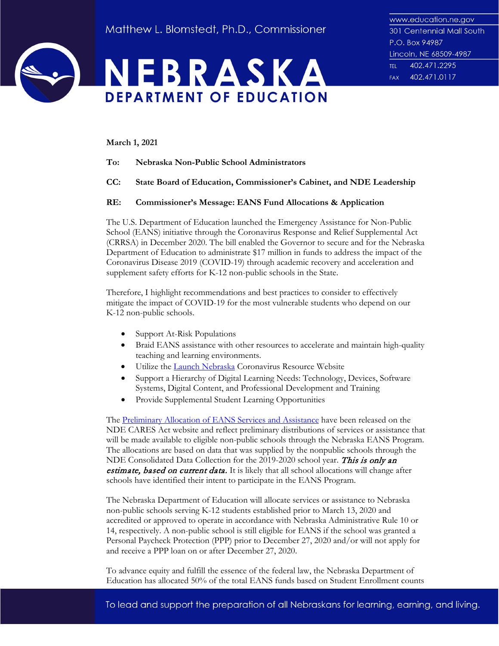



**March 1, 2021**

- **To: Nebraska Non-Public School Administrators**
- **CC: State Board of Education, Commissioner's Cabinet, and NDE Leadership**

## **RE: Commissioner's Message: EANS Fund Allocations & Application**

The U.S. Department of Education launched the Emergency Assistance for Non-Public School (EANS) initiative through the Coronavirus Response and Relief Supplemental Act (CRRSA) in December 2020. The bill enabled the Governor to secure and for the Nebraska Department of Education to administrate \$17 million in funds to address the impact of the Coronavirus Disease 2019 (COVID-19) through academic recovery and acceleration and supplement safety efforts for K-12 non-public schools in the State.

Therefore, I highlight recommendations and best practices to consider to effectively mitigate the impact of COVID-19 for the most vulnerable students who depend on our K-12 non-public schools.

- Support At-Risk Populations
- Braid EANS assistance with other resources to accelerate and maintain high-quality teaching and learning environments.
- Utilize the [Launch Nebraska](https://www.launchne.com/) Coronavirus Resource Website
- Support a Hierarchy of Digital Learning Needs: Technology, Devices, Software Systems, Digital Content, and Professional Development and Training
- Provide Supplemental Student Learning Opportunities

The [Preliminary Allocation](https://cdn.education.ne.gov/wp-content/uploads/2021/02/NE-EANS-Nonpublic-Preliminary-Allocations_1.pdf) of EANS Services and Assistance have been released on the NDE CARES Act website and reflect preliminary distributions of services or assistance that will be made available to eligible non-public schools through the Nebraska EANS Program. The allocations are based on data that was supplied by the nonpublic schools through the NDE Consolidated Data Collection for the 2019-2020 school year. This is only an estimate, based on current data. It is likely that all school allocations will change after schools have identified their intent to participate in the EANS Program.

The Nebraska Department of Education will allocate services or assistance to Nebraska non-public schools serving K-12 students established prior to March 13, 2020 and accredited or approved to operate in accordance with Nebraska Administrative Rule 10 or 14, respectively. A non-public school is still eligible for EANS if the school was granted a Personal Paycheck Protection (PPP) prior to December 27, 2020 and/or will not apply for and receive a PPP loan on or after December 27, 2020.

To advance equity and fulfill the essence of the federal law, the Nebraska Department of Education has allocated 50% of the total EANS funds based on Student Enrollment counts